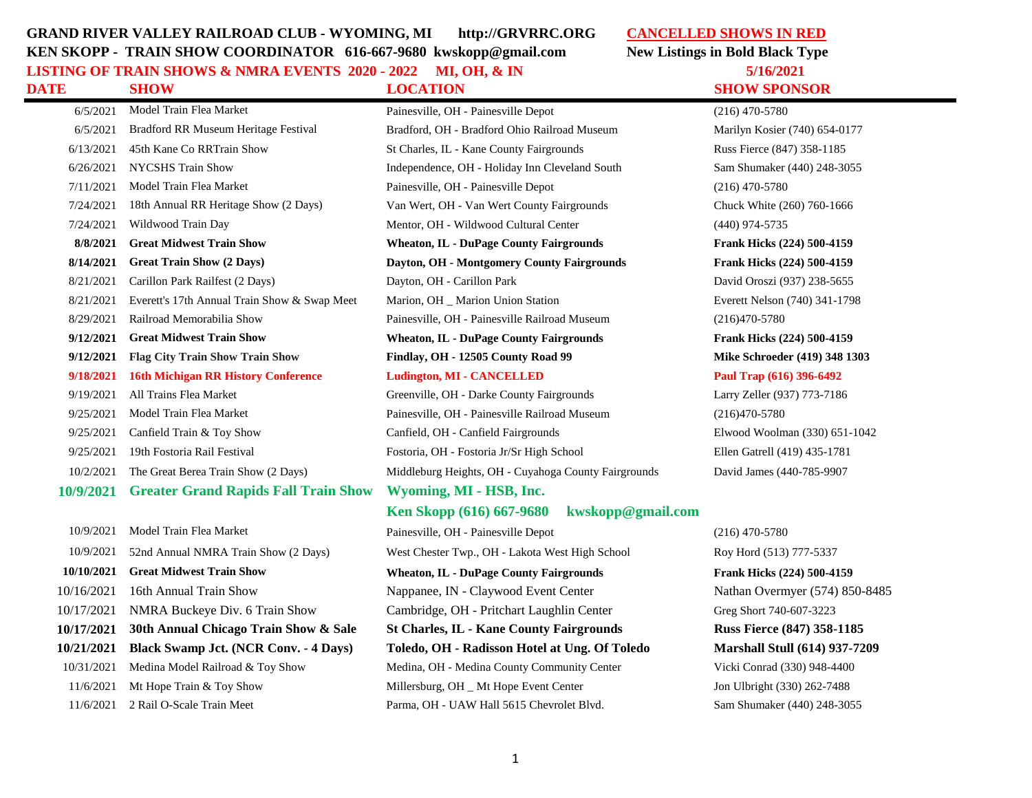## **GRAND RIVER VALLEY RAILROAD CLUB - WYOMING, MI http://GRVRRC.ORG CANCELLED SHOWS IN RED KEN SKOPP - TRAIN SHOW COORDINATOR 616-667-9680 kwskopp@gmail.com New Listings in Bold Black Type**

**LISTING OF TRAIN SHOWS & NMRA EVENTS 2020 - 2022 MI, OH, & IN 5/16/2021 DATE SHOW LOCATION SHOW SPONSOR**

6/5/2021 Model Train Flea Market Painesville, OH - Painesville Depot (216) 470-5780 Marilyn Kosier (740) 654-0177 Russ Fierce (847) 358-1185 Sam Shumaker (440) 248-3055 Chuck White (260) 760-1666 **8/8/8/8/100 Frank Hicks (224) 500-4159 8/14/2021 Great Train Show (2 Days) Dayton, OH - Montgomery County Fairgrounds Frank Hicks (224) 500-4159** David Oroszi (937) 238-5655 Everett Nelson (740) 341-1798 **Frank Hicks (224) 500-4159 9/12/2021 Flag City Train Show Train Show Findlay, OH - 12505 County Road 99 Mike Schroeder (419) 348 1303 9/18/2021 16th Michigan RR History Conference Ludington, MI - CANCELLED Paul Trap (616) 396-6492**  Larry Zeller (937) 773-7186 Elwood Woolman (330) 651-1042 Ellen Gatrell (419) 435-1781 ounds David James (440-785-9907

| 6/5/2021   | Bradford RR Museum Heritage Festival         | Bradford, OH - Bradford Ohio Railroad Museum         | Marilyn Kosier         |
|------------|----------------------------------------------|------------------------------------------------------|------------------------|
| 6/13/2021  | 45th Kane Co RRTrain Show                    | St Charles, IL - Kane County Fairgrounds             | Russ Fierce (84        |
| 6/26/2021  | <b>NYCSHS Train Show</b>                     | Independence, OH - Holiday Inn Cleveland South       | Sam Shumaker           |
| 7/11/2021  | Model Train Flea Market                      | Painesville, OH - Painesville Depot                  | $(216)$ 470-5780       |
| 7/24/2021  | 18th Annual RR Heritage Show (2 Days)        | Van Wert, OH - Van Wert County Fairgrounds           | Chuck White (2         |
| 7/24/2021  | Wildwood Train Day                           | Mentor, OH - Wildwood Cultural Center                | $(440)$ 974-5735       |
| 8/8/2021   | <b>Great Midwest Train Show</b>              | <b>Wheaton, IL - DuPage County Fairgrounds</b>       | <b>Frank Hicks (2)</b> |
| 8/14/2021  | <b>Great Train Show (2 Days)</b>             | Dayton, OH - Montgomery County Fairgrounds           | <b>Frank Hicks (2)</b> |
| 8/21/2021  | Carillon Park Railfest (2 Days)              | Dayton, OH - Carillon Park                           | David Oroszi (9        |
| 8/21/2021  | Everett's 17th Annual Train Show & Swap Meet | Marion, OH _ Marion Union Station                    | <b>Everett Nelson</b>  |
| 8/29/2021  | Railroad Memorabilia Show                    | Painesville, OH - Painesville Railroad Museum        | $(216)470 - 5780$      |
| 9/12/2021  | <b>Great Midwest Train Show</b>              | <b>Wheaton, IL - DuPage County Fairgrounds</b>       | <b>Frank Hicks (2)</b> |
| 9/12/2021  | <b>Flag City Train Show Train Show</b>       | Findlay, OH - 12505 County Road 99                   | <b>Mike Schroede</b>   |
| 9/18/2021  | <b>16th Michigan RR History Conference</b>   | <b>Ludington, MI - CANCELLED</b>                     | Paul Trap (616         |
| 9/19/2021  | All Trains Flea Market                       | Greenville, OH - Darke County Fairgrounds            | Larry Zeller (93       |
| 9/25/2021  | Model Train Flea Market                      | Painesville, OH - Painesville Railroad Museum        | $(216)470-5780$        |
| 9/25/2021  | Canfield Train & Toy Show                    | Canfield, OH - Canfield Fairgrounds                  | Elwood Woolm           |
| 9/25/2021  | 19th Fostoria Rail Festival                  | Fostoria, OH - Fostoria Jr/Sr High School            | Ellen Gatrell (4       |
| 10/2/2021  | The Great Berea Train Show (2 Days)          | Middleburg Heights, OH - Cuyahoga County Fairgrounds | David James (4         |
| 10/9/2021  | <b>Greater Grand Rapids Fall Train Show</b>  | Wyoming, MI - HSB, Inc.                              |                        |
|            |                                              | kwskopp@gmail.com<br>Ken Skopp (616) 667-9680        |                        |
| 10/9/2021  | Model Train Flea Market                      | Painesville, OH - Painesville Depot                  | $(216)$ 470-5780       |
| 0.10100000 |                                              |                                                      |                        |

10/9/2021 52nd Annual NMRA Train Show (2 Days) West Chester Twp., OH - Lakota West High School Roy Hord (513) 777-5337 **10/10/2021 Great Midwest Train Show Wheaton, IL - DuPage County Fairgrounds Frank Hicks (224) 500-4159** 10/16/2021 16th Annual Train Show Nappanee, IN - Claywood Event Center Nathan Overmyer (574) 850-8485 10/17/2021 NMRA Buckeye Div. 6 Train Show Cambridge, OH - Pritchart Laughlin Center Greg Short 740-607-3223 **10/17/2021 30th Annual Chicago Train Show & Sale St Charles, IL - Kane County Fairgrounds Russ Fierce (847) 358-1185 10/21/2021 Black Swamp Jct. (NCR Conv. - 4 Days) Toledo, OH - Radisson Hotel at Ung. Of Toledo Marshall Stull (614) 937-7209** 10/31/2021 Medina Model Railroad & Toy Show Medina, OH - Medina County Community Center Vicki Conrad (330) 948-4400 11/6/2021 Mt Hope Train & Toy Show Millersburg, OH \_ Mt Hope Event Center Jon Ulbright (330) 262-7488 11/6/2021 2 Rail O-Scale Train Meet Parma, OH - UAW Hall 5615 Chevrolet Blvd. Sam Shumaker (440) 248-3055